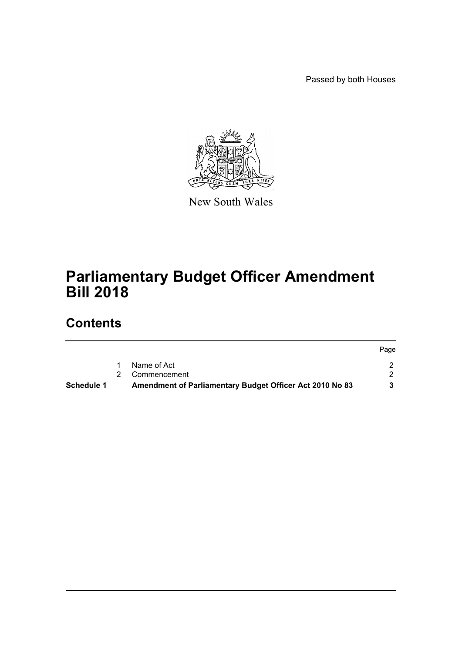Passed by both Houses



New South Wales

# **Parliamentary Budget Officer Amendment Bill 2018**

# **Contents**

|            |                                                          | Page |
|------------|----------------------------------------------------------|------|
|            | Name of Act                                              |      |
|            | 2 Commencement                                           |      |
| Schedule 1 | Amendment of Parliamentary Budget Officer Act 2010 No 83 |      |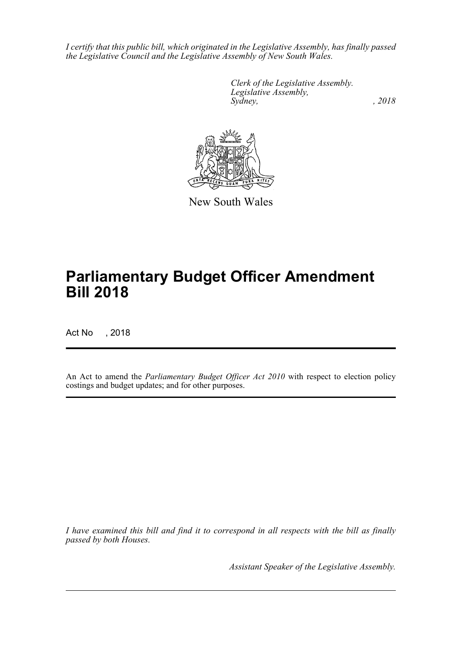*I certify that this public bill, which originated in the Legislative Assembly, has finally passed the Legislative Council and the Legislative Assembly of New South Wales.*

> *Clerk of the Legislative Assembly. Legislative Assembly, Sydney, , 2018*



New South Wales

# **Parliamentary Budget Officer Amendment Bill 2018**

Act No , 2018

An Act to amend the *Parliamentary Budget Officer Act 2010* with respect to election policy costings and budget updates; and for other purposes.

*I have examined this bill and find it to correspond in all respects with the bill as finally passed by both Houses.*

*Assistant Speaker of the Legislative Assembly.*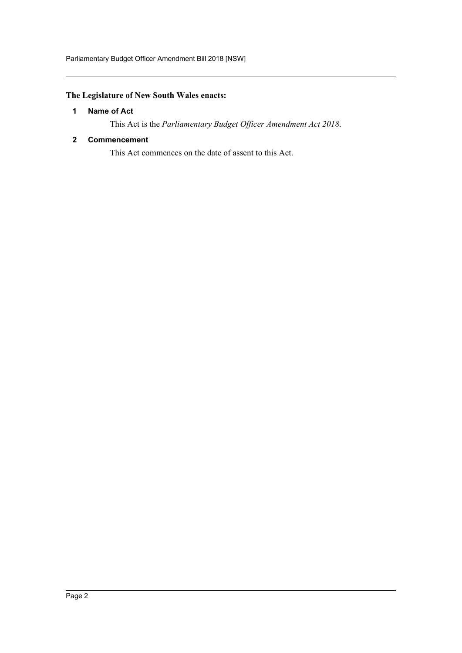# <span id="page-2-0"></span>**The Legislature of New South Wales enacts:**

# **1 Name of Act**

This Act is the *Parliamentary Budget Officer Amendment Act 2018*.

#### <span id="page-2-1"></span>**2 Commencement**

This Act commences on the date of assent to this Act.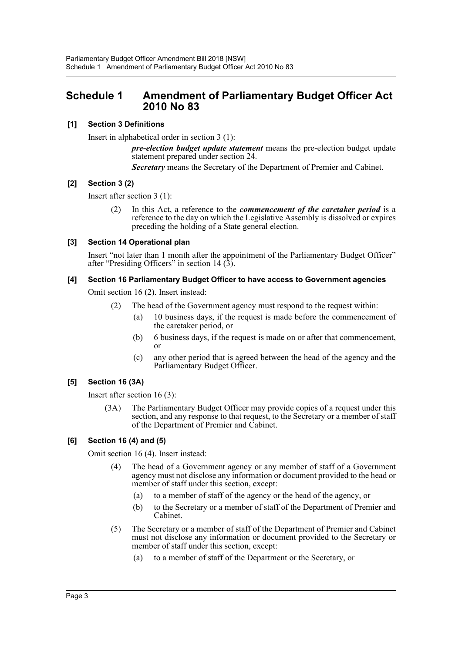# <span id="page-3-0"></span>**Schedule 1 Amendment of Parliamentary Budget Officer Act 2010 No 83**

## **[1] Section 3 Definitions**

Insert in alphabetical order in section 3 (1):

*pre-election budget update statement* means the pre-election budget update statement prepared under section 24.

*Secretary* means the Secretary of the Department of Premier and Cabinet.

## **[2] Section 3 (2)**

Insert after section 3 (1):

(2) In this Act, a reference to the *commencement of the caretaker period* is a reference to the day on which the Legislative Assembly is dissolved or expires preceding the holding of a State general election.

## **[3] Section 14 Operational plan**

Insert "not later than 1 month after the appointment of the Parliamentary Budget Officer" after "Presiding Officers" in section 14  $(3)$ .

#### **[4] Section 16 Parliamentary Budget Officer to have access to Government agencies**

Omit section 16 (2). Insert instead:

- (2) The head of the Government agency must respond to the request within:
	- (a) 10 business days, if the request is made before the commencement of the caretaker period, or
	- (b) 6 business days, if the request is made on or after that commencement, or
	- (c) any other period that is agreed between the head of the agency and the Parliamentary Budget Officer.

## **[5] Section 16 (3A)**

Insert after section 16 (3):

(3A) The Parliamentary Budget Officer may provide copies of a request under this section, and any response to that request, to the Secretary or a member of staff of the Department of Premier and Cabinet.

## **[6] Section 16 (4) and (5)**

Omit section 16 (4). Insert instead:

- (4) The head of a Government agency or any member of staff of a Government agency must not disclose any information or document provided to the head or member of staff under this section, except:
	- (a) to a member of staff of the agency or the head of the agency, or
	- (b) to the Secretary or a member of staff of the Department of Premier and Cabinet.
- (5) The Secretary or a member of staff of the Department of Premier and Cabinet must not disclose any information or document provided to the Secretary or member of staff under this section, except:
	- (a) to a member of staff of the Department or the Secretary, or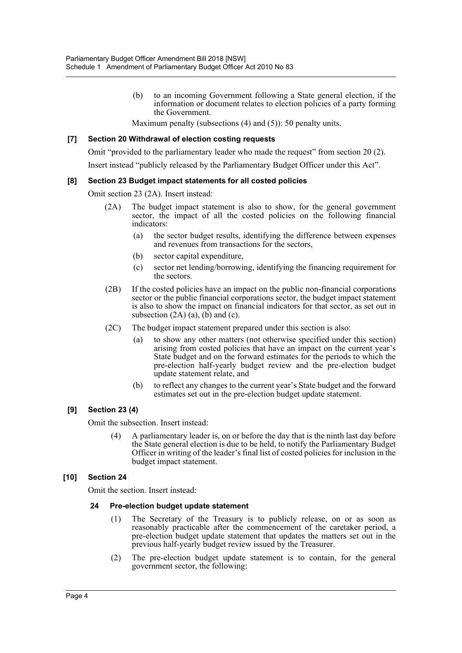(b) to an incoming Government following a State general election, if the information or document relates to election policies of a party forming the Government.

Maximum penalty (subsections (4) and (5)): 50 penalty units.

#### **[7] Section 20 Withdrawal of election costing requests**

Omit "provided to the parliamentary leader who made the request" from section 20 (2).

Insert instead "publicly released by the Parliamentary Budget Officer under this Act".

#### **[8] Section 23 Budget impact statements for all costed policies**

Omit section 23 (2A). Insert instead:

- (2A) The budget impact statement is also to show, for the general government sector, the impact of all the costed policies on the following financial indicators:
	- (a) the sector budget results, identifying the difference between expenses and revenues from transactions for the sectors,
	- (b) sector capital expenditure,
	- (c) sector net lending/borrowing, identifying the financing requirement for the sectors.
- (2B) If the costed policies have an impact on the public non-financial corporations sector or the public financial corporations sector, the budget impact statement is also to show the impact on financial indicators for that sector, as set out in subsection  $(2A)$   $(a)$ ,  $(b)$  and  $(c)$ .
- (2C) The budget impact statement prepared under this section is also:
	- (a) to show any other matters (not otherwise specified under this section) arising from costed policies that have an impact on the current year's State budget and on the forward estimates for the periods to which the pre-election half-yearly budget review and the pre-election budget update statement relate, and
	- (b) to reflect any changes to the current year's State budget and the forward estimates set out in the pre-election budget update statement.

## **[9] Section 23 (4)**

Omit the subsection. Insert instead:

(4) A parliamentary leader is, on or before the day that is the ninth last day before the State general election is due to be held, to notify the Parliamentary Budget Officer in writing of the leader's final list of costed policies for inclusion in the budget impact statement.

#### **[10] Section 24**

Omit the section. Insert instead:

#### **24 Pre-election budget update statement**

- (1) The Secretary of the Treasury is to publicly release, on or as soon as reasonably practicable after the commencement of the caretaker period, a pre-election budget update statement that updates the matters set out in the previous half-yearly budget review issued by the Treasurer.
- (2) The pre-election budget update statement is to contain, for the general government sector, the following: